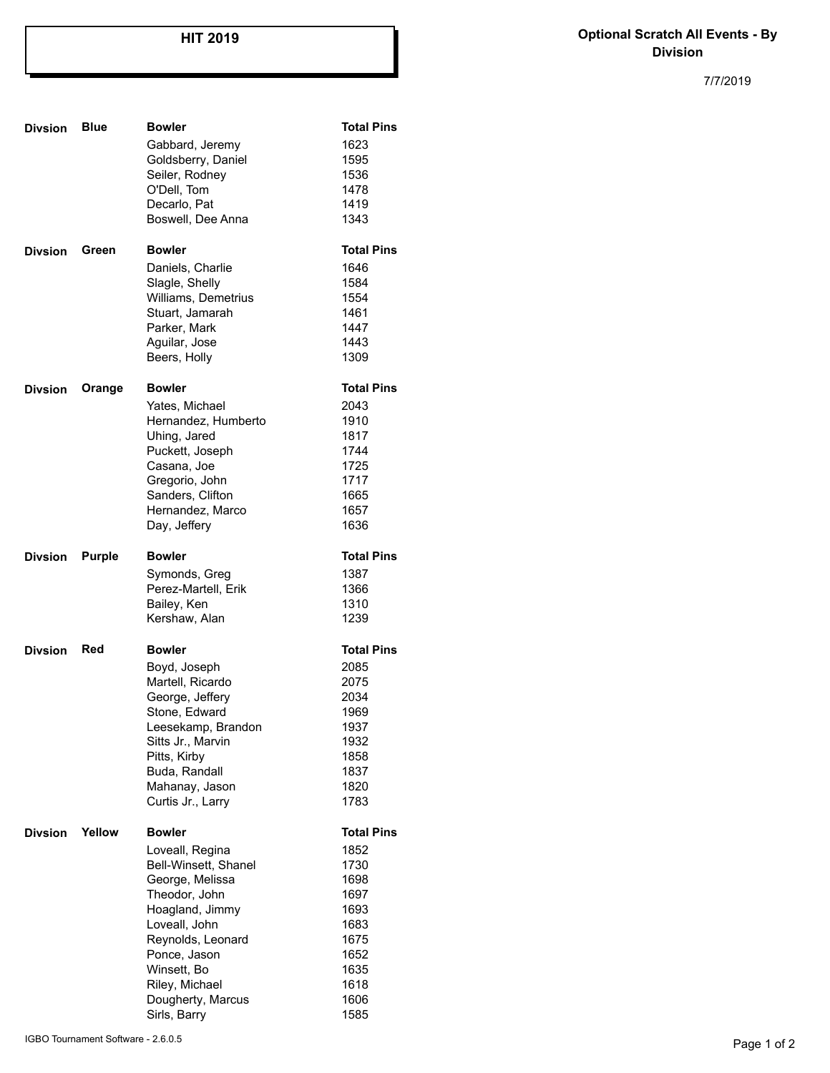## **HIT 2019**

## **Optional Scratch All Events - By Division**

7/7/2019

| <b>Divsion</b> | <b>Blue</b>   | <b>Bowler</b>                       | <b>Total Pins</b> |
|----------------|---------------|-------------------------------------|-------------------|
|                |               | Gabbard, Jeremy                     | 1623              |
|                |               | Goldsberry, Daniel                  | 1595              |
|                |               | Seiler, Rodney                      | 1536              |
|                |               | O'Dell, Tom                         | 1478              |
|                |               | Decarlo, Pat                        | 1419              |
|                |               | Boswell, Dee Anna                   | 1343              |
| <b>Divsion</b> | Green         | <b>Bowler</b>                       | <b>Total Pins</b> |
|                |               | Daniels, Charlie                    | 1646              |
|                |               | Slagle, Shelly                      | 1584              |
|                |               | Williams, Demetrius                 | 1554              |
|                |               | Stuart, Jamarah                     | 1461              |
|                |               | Parker, Mark                        | 1447              |
|                |               | Aguilar, Jose                       | 1443              |
|                |               | Beers, Holly                        | 1309              |
| <b>Divsion</b> | Orange        | <b>Bowler</b>                       | <b>Total Pins</b> |
|                |               | Yates, Michael                      | 2043              |
|                |               | Hernandez, Humberto                 | 1910              |
|                |               | Uhing, Jared                        | 1817              |
|                |               | Puckett, Joseph                     | 1744              |
|                |               | Casana, Joe                         | 1725              |
|                |               | Gregorio, John                      | 1717              |
|                |               | Sanders, Clifton                    | 1665              |
|                |               | Hernandez, Marco                    | 1657              |
|                |               | Day, Jeffery                        | 1636              |
| <b>Divsion</b> | <b>Purple</b> | <b>Bowler</b>                       | <b>Total Pins</b> |
|                |               | Symonds, Greg                       | 1387              |
|                |               | Perez-Martell, Erik                 | 1366              |
|                |               | Bailey, Ken                         | 1310              |
|                |               | Kershaw, Alan                       | 1239              |
| <b>Divsion</b> | Red           | <b>Bowler</b>                       | <b>Total Pins</b> |
|                |               | Boyd, Joseph                        | 2085              |
|                |               | Martell, Ricardo                    | 2075              |
|                |               | George, Jeffery                     | 2034              |
|                |               | Stone, Edward                       | 1969              |
|                |               | Leesekamp, Brandon                  | 1937              |
|                |               | Sitts Jr., Marvin                   | 1932              |
|                |               | Pitts, Kirby                        | 1858              |
|                |               | Buda, Randall                       | 1837              |
|                |               | Mahanay, Jason                      | 1820              |
|                |               | Curtis Jr., Larry                   | 1783              |
| <b>Divsion</b> | Yellow        | <b>Bowler</b>                       | <b>Total Pins</b> |
|                |               | Loveall, Regina                     | 1852              |
|                |               | Bell-Winsett, Shanel                | 1730              |
|                |               | George, Melissa                     | 1698              |
|                |               | Theodor, John                       | 1697              |
|                |               | Hoagland, Jimmy                     | 1693              |
|                |               | Loveall, John                       | 1683              |
|                |               | Reynolds, Leonard                   | 1675              |
|                |               | Ponce, Jason                        | 1652              |
|                |               | Winsett, Bo                         | 1635              |
|                |               | Riley, Michael<br>Dougherty, Marcus | 1618<br>1606      |
|                |               | Sirls, Barry                        | 1585              |
|                |               |                                     |                   |